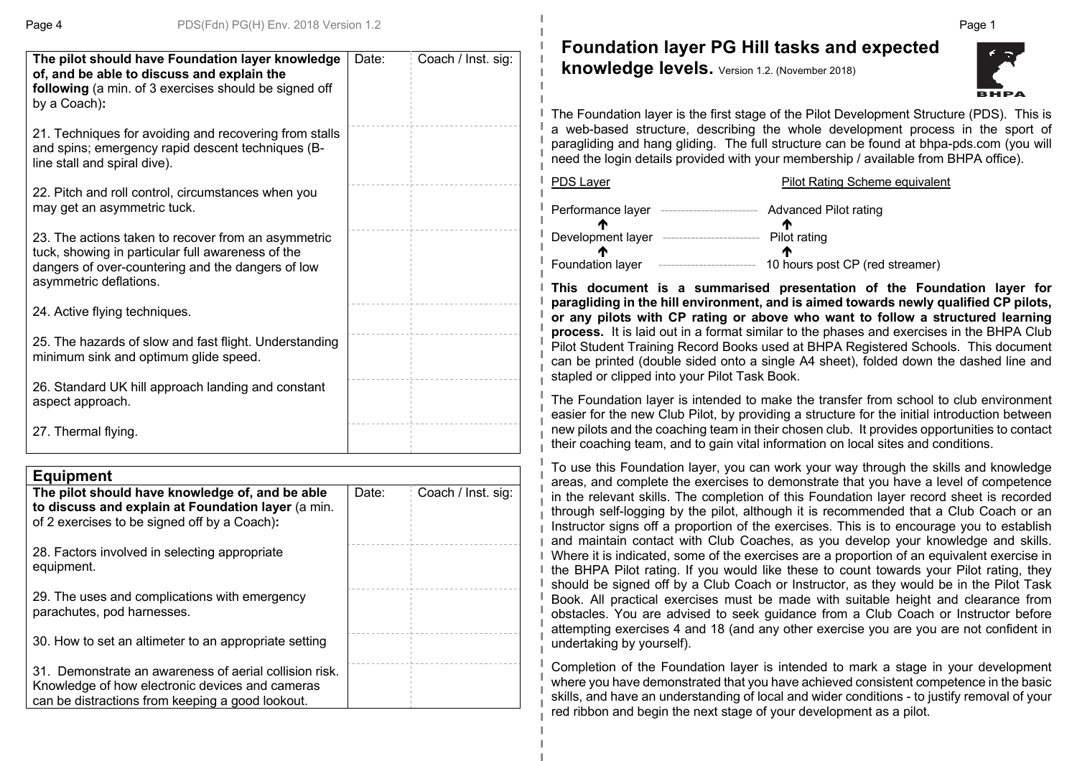| The pilot should have Foundation layer knowledge<br>of, and be able to discuss and explain the<br>following (a min. of 3 exercises should be signed off<br>by a Coach):                 | Date: | Coach / Inst. sig: |
|-----------------------------------------------------------------------------------------------------------------------------------------------------------------------------------------|-------|--------------------|
| 21. Techniques for avoiding and recovering from stalls<br>and spins; emergency rapid descent techniques (B-<br>line stall and spiral dive).                                             |       |                    |
| 22. Pitch and roll control, circumstances when you<br>may get an asymmetric tuck.                                                                                                       |       |                    |
| 23. The actions taken to recover from an asymmetric<br>tuck, showing in particular full awareness of the<br>dangers of over-countering and the dangers of low<br>asymmetric deflations. |       |                    |
| 24. Active flying techniques.                                                                                                                                                           |       |                    |
| 25. The hazards of slow and fast flight. Understanding<br>minimum sink and optimum glide speed.                                                                                         |       |                    |
| 26. Standard UK hill approach landing and constant<br>aspect approach.                                                                                                                  |       |                    |
| 27. Thermal flying.                                                                                                                                                                     |       |                    |

| <b>Equipment</b>                                                                                                                                              |       |                    |
|---------------------------------------------------------------------------------------------------------------------------------------------------------------|-------|--------------------|
| The pilot should have knowledge of, and be able<br>to discuss and explain at Foundation layer (a min.<br>of 2 exercises to be signed off by a Coach):         | Date: | Coach / Inst. sig: |
| 28. Factors involved in selecting appropriate<br>equipment.                                                                                                   |       |                    |
| 29. The uses and complications with emergency<br>parachutes, pod harnesses.                                                                                   |       |                    |
| 30. How to set an altimeter to an appropriate setting                                                                                                         |       |                    |
| 31. Demonstrate an awareness of aerial collision risk.<br>Knowledge of how electronic devices and cameras<br>can be distractions from keeping a good lookout. |       |                    |

**Foundation layer PG Hill tasks and expected** 

**knowledge levels.** Version 1.2. (November 2018)



The Foundation layer is the first stage of the Pilot Development Structure (PDS). This is a web-based structure, describing the whole development process in the sport of paragliding and hang gliding. The full structure can be found at bhpa-pds.com (you will need the login details provided with your membership / available from BHPA office).

| <b>PDS Layer</b>  | <b>Pilot Rating Scheme equivalent</b> |
|-------------------|---------------------------------------|
| Performance layer | Advanced Pilot rating                 |
| Development layer | m<br>Pilot rating                     |
|                   | m                                     |
| Foundation layer  | 10 hours post CP (red streamer)       |

**This document is a summarised presentation of the Foundation layer for paragliding in the hill environment, and is aimed towards newly qualified CP pilots, or any pilots with CP rating or above who want to follow a structured learning process.** It is laid out in a format similar to the phases and exercises in the BHPA Club Pilot Student Training Record Books used at BHPA Registered Schools. This document can be printed (double sided onto a single A4 sheet), folded down the dashed line and stapled or clipped into your Pilot Task Book.

The Foundation layer is intended to make the transfer from school to club environment easier for the new Club Pilot, by providing a structure for the initial introduction between new pilots and the coaching team in their chosen club. It provides opportunities to contact their coaching team, and to gain vital information on local sites and conditions.

To use this Foundation layer, you can work your way through the skills and knowledge areas, and complete the exercises to demonstrate that you have a level of competence in the relevant skills. The completion of this Foundation layer record sheet is recorded through self-logging by the pilot, although it is recommended that a Club Coach or an Instructor signs off a proportion of the exercises. This is to encourage you to establish and maintain contact with Club Coaches, as you develop your knowledge and skills. Where it is indicated, some of the exercises are a proportion of an equivalent exercise in the BHPA Pilot rating. If you would like these to count towards your Pilot rating, they should be signed off by a Club Coach or Instructor, as they would be in the Pilot Task Book. All practical exercises must be made with suitable height and clearance from obstacles. You are advised to seek guidance from a Club Coach or Instructor before attempting exercises 4 and 18 (and any other exercise you are you are not confident in undertaking by yourself).

Completion of the Foundation layer is intended to mark a stage in your development where you have demonstrated that you have achieved consistent competence in the basic skills, and have an understanding of local and wider conditions - to justify removal of your red ribbon and begin the next stage of your development as a pilot.